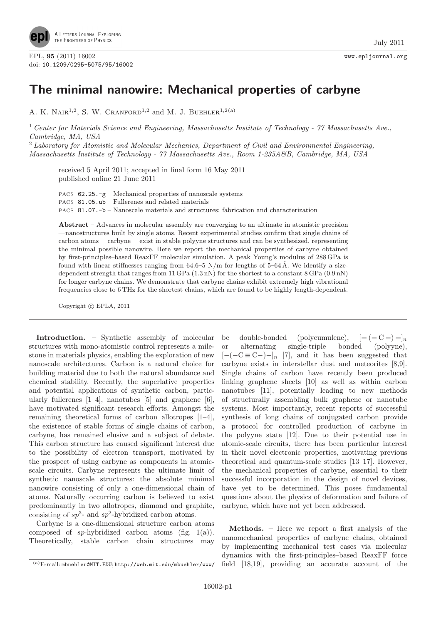

## The minimal nanowire: Mechanical properties of carbyne

A. K. NAIR<sup>1,2</sup>, S. W. CRANFORD<sup>1,2</sup> and M. J. BUEHLER<sup>1,2(a)</sup>

<sup>1</sup> Center for Materials Science and Engineering, Massachusetts Institute of Technology - 77 Massachusetts Ave., Cambridge, MA, USA

 $2$  Laboratory for Atomistic and Molecular Mechanics, Department of Civil and Environmental Engineering, Massachusetts Institute of Technology - 77 Massachusetts Ave., Room 1-235A&B, Cambridge, MA, USA

received 5 April 2011; accepted in final form 16 May 2011 published online 21 June 2011

PACS 62.25.-g – Mechanical properties of nanoscale systems PACS 81.05.ub – Fullerenes and related materials PACS 81.07.-b – Nanoscale materials and structures: fabrication and characterization

Abstract – Advances in molecular assembly are converging to an ultimate in atomistic precision —nanostructures built by single atoms. Recent experimental studies confirm that single chains of carbon atoms —carbyne— exist in stable polyyne structures and can be synthesized, representing the minimal possible nanowire. Here we report the mechanical properties of carbyne obtained by first-principles–based ReaxFF molecular simulation. A peak Young's modulus of 288 GPa is found with linear stiffnesses ranging from  $64.6-5$  N/m for lengths of  $5-64\text{\AA}$ . We identify a sizedependent strength that ranges from  $11 \text{ GPa} (1.3 \text{ nN})$  for the shortest to a constant  $8 \text{ GPa} (0.9 \text{ nN})$ for longer carbyne chains. We demonstrate that carbyne chains exhibit extremely high vibrational frequencies close to 6 THz for the shortest chains, which are found to be highly length-dependent.

Copyright  $\odot$  EPLA, 2011

Introduction. – Synthetic assembly of molecular structures with mono-atomistic control represents a milestone in materials physics, enabling the exploration of new nanoscale architectures. Carbon is a natural choice for building material due to both the natural abundance and chemical stability. Recently, the superlative properties and potential applications of synthetic carbon, particularly fullerenes  $[1-4]$ , nanotubes  $[5]$  and graphene  $[6]$ , have motivated significant research efforts. Amongst the remaining theoretical forms of carbon allotropes [1–4], the existence of stable forms of single chains of carbon, carbyne, has remained elusive and a subject of debate. This carbon structure has caused significant interest due to the possibility of electron transport, motivated by the prospect of using carbyne as components in atomicscale circuits. Carbyne represents the ultimate limit of synthetic nanoscale structures: the absolute minimal nanowire consisting of only a one-dimensional chain of atoms. Naturally occurring carbon is believed to exist predominantly in two allotropes, diamond and graphite, consisting of  $sp^3$ - and  $sp^2$ -hybridized carbon atoms.

Carbyne is a one-dimensional structure carbon atoms composed of sp-hybridized carbon atoms (fig. 1(a)). Theoretically, stable carbon chain structures may

be double-bonded (polycumulene),  $[= ( = C = ) = ]_n$ or alternating single-triple bonded (polyyne),  $[-(-C \equiv C-)$ <sub>n</sub> [7], and it has been suggested that carbyne exists in interstellar dust and meteorites [8,9]. Single chains of carbon have recently been produced linking graphene sheets [10] as well as within carbon nanotubes [11], potentially leading to new methods of structurally assembling bulk graphene or nanotube systems. Most importantly, recent reports of successful synthesis of long chains of conjugated carbon provide a protocol for controlled production of carbyne in the polyyne state [12]. Due to their potential use in atomic-scale circuits, there has been particular interest in their novel electronic properties, motivating previous theoretical and quantum-scale studies [13–17]. However, the mechanical properties of carbyne, essential to their successful incorporation in the design of novel devices, have yet to be determined. This poses fundamental questions about the physics of deformation and failure of carbyne, which have not yet been addressed.

Methods. – Here we report a first analysis of the nanomechanical properties of carbyne chains, obtained by implementing mechanical test cases via molecular dynamics with the first-principles–based ReaxFF force field [18,19], providing an accurate account of the

 $(a)$ E-mail: mbuehler@MIT.EDU; http://web.mit.edu/mbuehler/www/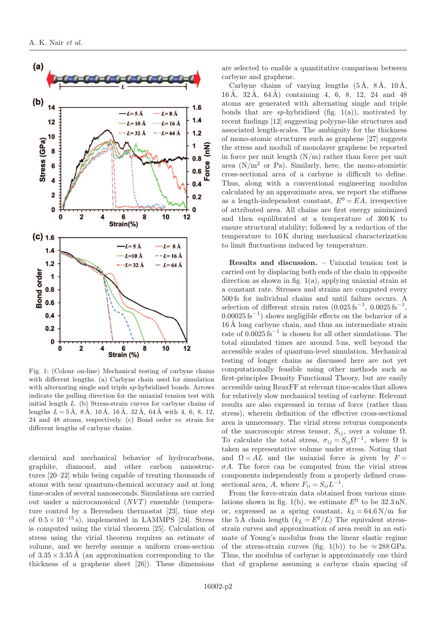

Fig. 1: (Colour on-line) Mechanical testing of carbyne chains with different lengths. (a) Carbyne chain used for simulation with alternating single and triple sp-hybridized bonds. Arrows indicate the pulling direction for the uniaxial tension test with initial length L. (b) Stress-strain curves for carbyne chains of lengths  $L = 5 \text{ Å}$ ,  $8 \text{ Å}$ ,  $10 \text{ Å}$ ,  $16 \text{ Å}$ ,  $32 \text{ Å}$ ,  $64 \text{ Å}$  with 4, 6, 8, 12, 24 and 48 atoms, respectively. (c) Bond order vs. strain for different lengths of carbyne chains.

chemical and mechanical behavior of hydrocarbons, graphite, diamond, and other carbon nanostructures [20–22] while being capable of treating thousands of atoms with near quantum-chemical accuracy and at long time-scales of several nanoseconds. Simulations are carried out under a microcanonical (NVT) ensemble (temperature control by a Berendsen thermostat [23], time step of  $0.5 \times 10^{-15}$  s), implemented in LAMMPS [24]. Stress is computed using the virial theorem [25]. Calculation of stress using the virial theorem requires an estimate of volume, and we hereby assume a uniform cross-section of  $3.35 \times 3.35$  Å (an approximation corresponding to the thickness of a graphene sheet [26]). These dimensions are selected to enable a quantitative comparison between carbyne and graphene.

Carbyne chains of varying lengths  $(5 \AA, 8 \AA, 10 \AA, )$  $16 \text{ Å}, 32 \text{ Å}, 64 \text{ Å}$  containing 4, 6, 8, 12, 24 and 48 atoms are generated with alternating single and triple bonds that are sp-hybridized (fig.  $1(a)$ ), motivated by recent findings [12] suggesting polyyne-like structures and associated length-scales. The ambiguity for the thickness of mono-atomic structures such as graphene [27] suggests the stress and moduli of monolayer graphene be reported in force per unit length  $(N/m)$  rather than force per unit area  $(N/m^2$  or Pa). Similarly, here, the mono-atomistic cross-sectional area of a carbyne is difficult to define. Thus, along with a conventional engineering modulus calculated by an approximate area, we report the stiffness as a length-independent constant,  $E^0 = EA$ , irrespective of attributed area. All chains are first energy minimized and then equilibrated at a temperature of 300 K to ensure structural stability; followed by a reduction of the temperature to 10 K during mechanical characterization to limit fluctuations induced by temperature.

Results and discussion. – Uniaxial tension test is carried out by displacing both ends of the chain in opposite direction as shown in fig. 1(a), applying uniaxial strain at a constant rate. Stresses and strains are computed every 500 fs for individual chains and until failure occurs. A selection of different strain rates  $(0.025 \text{ fs}^{-1}, 0.0025 \text{ fs}^{-1})$ ,  $0.00025 \text{ fs}^{-1}$ ) shows negligible effects on the behavior of a  $16 \text{ Å}$  long carbyne chain, and thus an intermediate strain rate of 0.0025 fs<sup>−</sup><sup>1</sup> is chosen for all other simulations. The total simulated times are around 5 ns, well beyond the accessible scales of quantum-level simulation. Mechanical testing of longer chains as discussed here are not yet computationally feasible using other methods such as first-principles Density Functional Theory, but are easily accessible using ReaxFF at relevant time-scales that allows for relatively slow mechanical testing of carbyne. Relevant results are also expressed in terms of force (rather than stress), wherein definition of the effective cross-sectional area is unnecessary. The virial stress returns components of the macroscopic stress tensor,  $S_{ij}$ , over a volume  $\Omega$ . To calculate the total stress,  $\sigma_{ij} = S_{ij} \Omega^{-1}$ , where  $\Omega$  is taken as representative volume under stress. Noting that and  $\Omega = AL$  and the uniaxial force is given by  $F =$  $\sigma A$ . The force can be computed from the virial stress components independently from a properly defined crosssectional area, A, where  $F_{ii} = S_{ii}L^{-1}$ .

From the force-strain data obtained from various simulations shown in fig. 1(b), we estimate  $E^0$  to be  $32.3 \text{ nN}$ , or, expressed as a spring constant,  $k_L = 64.6 \text{ N/m}$  for the 5 Å chain length  $(k_L = E^0/L)$  The equivalent stressstrain curves and approximation of area result in an estimate of Young's modulus from the linear elastic regime of the stress-strain curves (fig. 1(b)) to be  $\approx 288 \text{ GPa}$ . Thus, the modulus of carbyne is approximately one third that of graphene assuming a carbyne chain spacing of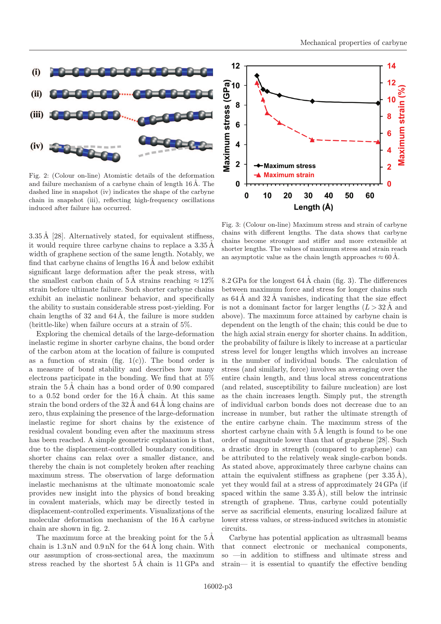

and failure mechanism of a carbyne chain of length  $16 \text{ Å}$ . The dashed line in snapshot (iv) indicates the shape of the carbyne chain in snapshot (iii), reflecting high-frequency oscillations induced after failure has occurred.

 $3.35 \text{ Å}$  [28]. Alternatively stated, for equivalent stiffness, it would require three carbyne chains to replace a  $3.35 \text{\AA}$ width of graphene section of the same length. Notably, we find that carbyne chains of lengths  $16 \text{ Å}$  and below exhibit significant large deformation after the peak stress, with the smallest carbon chain of 5 Å strains reaching  $\approx 12\%$ strain before ultimate failure. Such shorter carbyne chains exhibit an inelastic nonlinear behavior, and specifically the ability to sustain considerable stress post-yielding. For chain lengths of 32 and  $64 \text{\AA}$ , the failure is more sudden (brittle-like) when failure occurs at a strain of 5%.

Exploring the chemical details of the large-deformation inelastic regime in shorter carbyne chains, the bond order of the carbon atom at the location of failure is computed as a function of strain (fig.  $1(c)$ ). The bond order is a measure of bond stability and describes how many electrons participate in the bonding. We find that at 5% strain the  $5 \text{\AA}$  chain has a bond order of 0.90 compared to a  $0.52$  bond order for the  $16 \text{\AA}$  chain. At this same strain the bond orders of the  $32 \text{ Å}$  and  $64 \text{ Å}$  long chains are zero, thus explaining the presence of the large-deformation inelastic regime for short chains by the existence of residual covalent bonding even after the maximum stress has been reached. A simple geometric explanation is that, due to the displacement-controlled boundary conditions, shorter chains can relax over a smaller distance, and thereby the chain is not completely broken after reaching maximum stress. The observation of large deformation inelastic mechanisms at the ultimate monoatomic scale provides new insight into the physics of bond breaking in covalent materials, which may be directly tested in displacement-controlled experiments. Visualizations of the molecular deformation mechanism of the  $16 \text{\AA}$  carbyne chain are shown in fig. 2.

The maximum force at the breaking point for the  $5\,\text{\AA}$ chain is  $1.3 \text{ nN}$  and  $0.9 \text{ nN}$  for the  $64 \text{ Å}$  long chain. With our assumption of cross-sectional area, the maximum stress reached by the shortest  $5 \text{ Å}$  chain is  $11 \text{ GPa}$  and



Fig. 3: (Colour on-line) Maximum stress and strain of carbyne chains with different lengths. The data shows that carbyne chains become stronger and stiffer and more extensible at shorter lengths. The values of maximum stress and strain reach an asymptotic value as the chain length approaches  $\approx 60 \text{ Å}.$ 

8.2 GPa for the longest  $64 \text{\AA}$  chain (fig. 3). The differences between maximum force and stress for longer chains such as  $64 \text{\AA}$  and  $32 \text{\AA}$  vanishes, indicating that the size effect is not a dominant factor for larger lengths  $(L > 32 \text{ A and})$ above). The maximum force attained by carbyne chain is dependent on the length of the chain; this could be due to the high axial strain energy for shorter chains. In addition, the probability of failure is likely to increase at a particular stress level for longer lengths which involves an increase in the number of individual bonds. The calculation of stress (and similarly, force) involves an averaging over the entire chain length, and thus local stress concentrations (and related, susceptibility to failure nucleation) are lost as the chain increases length. Simply put, the strength of individual carbon bonds does not decrease due to an increase in number, but rather the ultimate strength of the entire carbyne chain. The maximum stress of the shortest carbyne chain with  $5 \text{\AA}$  length is found to be one order of magnitude lower than that of graphene [28]. Such a drastic drop in strength (compared to graphene) can be attributed to the relatively weak single-carbon bonds. As stated above, approximately three carbyne chains can attain the equivalent stiffness as graphene (per  $3.35 \text{ Å}$ ), yet they would fail at a stress of approximately 24 GPa (if spaced within the same  $3.35 \text{ Å}$ ), still below the intrinsic strength of graphene. Thus, carbyne could potentially serve as sacrificial elements, ensuring localized failure at lower stress values, or stress-induced switches in atomistic circuits.

Carbyne has potential application as ultrasmall beams that connect electronic or mechanical components, so —in addition to stiffness and ultimate stress and strain— it is essential to quantify the effective bending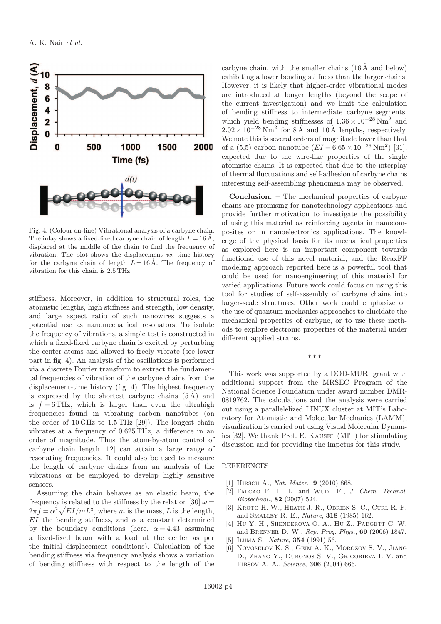

Fig. 4: (Colour on-line) Vibrational analysis of a carbyne chain. The inlay shows a fixed-fixed carbyne chain of length  $L = 16 \text{ Å}$ , displaced at the middle of the chain to find the frequency of vibration. The plot shows the displacement vs. time history for the carbyne chain of length  $L = 16 \text{ Å}$ . The frequency of vibration for this chain is 2.5 THz.

stiffness. Moreover, in addition to structural roles, the atomistic lengths, high stiffness and strength, low density, and large aspect ratio of such nanowires suggests a potential use as nanomechanical resonators. To isolate the frequency of vibrations, a simple test is constructed in which a fixed-fixed carbyne chain is excited by perturbing the center atoms and allowed to freely vibrate (see lower part in fig. 4). An analysis of the oscillations is performed via a discrete Fourier transform to extract the fundamental frequencies of vibration of the carbyne chains from the displacement-time history (fig. 4). The highest frequency is expressed by the shortest carbyne chains  $(5 \AA)$  and is  $f = 6$  THz, which is larger than even the ultrahigh frequencies found in vibrating carbon nanotubes (on the order of 10 GHz to 1.5 THz [29]). The longest chain vibrates at a frequency of 0.625 THz, a difference in an order of magnitude. Thus the atom-by-atom control of carbyne chain length [12] can attain a large range of resonating frequencies. It could also be used to measure the length of carbyne chains from an analysis of the vibrations or be employed to develop highly sensitive sensors.

Assuming the chain behaves as an elastic beam, the frequency is related to the stiffness by the relation [30]  $\omega =$  $2\pi f = \alpha^2 \sqrt{EI/mL^3}$ , where m is the mass, L is the length, EI the bending stiffness, and  $\alpha$  a constant determined by the boundary conditions (here,  $\alpha = 4.43$  assuming a fixed-fixed beam with a load at the center as per the initial displacement conditions). Calculation of the bending stiffness via frequency analysis shows a variation of bending stiffness with respect to the length of the

carbyne chain, with the smaller chains  $(16 \text{ Å}$  and below) exhibiting a lower bending stiffness than the larger chains. However, it is likely that higher-order vibrational modes are introduced at longer lengths (beyond the scope of the current investigation) and we limit the calculation of bending stiffness to intermediate carbyne segments, which yield bending stiffnesses of  $1.36 \times 10^{-28}$  Nm<sup>2</sup> and  $2.02 \times 10^{-28}$  Nm<sup>2</sup> for 8 Å and 10 Å lengths, respectively. We note this is several orders of magnitude lower than that of a (5,5) carbon nanotube  $(EI = 6.65 \times 10^{-26} \text{ Nm}^2)$  [31], expected due to the wire-like properties of the single atomistic chains. It is expected that due to the interplay of thermal fluctuations and self-adhesion of carbyne chains interesting self-assembling phenomena may be observed.

Conclusion. – The mechanical properties of carbyne chains are promising for nanotechnology applications and provide further motivation to investigate the possibility of using this material as reinforcing agents in nanocomposites or in nanoelectronics applications. The knowledge of the physical basis for its mechanical properties as explored here is an important component towards functional use of this novel material, and the ReaxFF modeling approach reported here is a powerful tool that could be used for nanoengineering of this material for varied applications. Future work could focus on using this tool for studies of self-assembly of carbyne chains into larger-scale structures. Other work could emphasize on the use of quantum-mechanics approaches to elucidate the mechanical properties of carbyne, or to use these methods to explore electronic properties of the material under different applied strains.

This work was supported by a DOD-MURI grant with additional support from the MRSEC Program of the National Science Foundation under award number DMR-0819762. The calculations and the analysis were carried out using a parallelelized LINUX cluster at MIT's Laboratory for Atomistic and Molecular Mechanics (LAMM), visualization is carried out using Visual Molecular Dynamics [32]. We thank Prof. E. Kausel (MIT) for stimulating discussion and for providing the impetus for this study.

∗∗∗

## REFERENCES

- [1] HIRSCH A., Nat. Mater., 9 (2010) 868.
- [2] FALCAO E. H. L. and WUDL F., J. Chem. Technol. Biotechnol., 82 (2007) 524.
- [3] Kroto H. W., Heath J. R., Obrien S. C., Curl R. F. and Smalley R. E., Nature, 318 (1985) 162.
- [4] HU Y. H., SHENDEROVA O. A., HU Z., PADGETT C. W. and Brenner D. W., Rep. Prog. Phys., 69 (2006) 1847.
- [5] IIJIMA S., *Nature*, **354** (1991) 56.
- [6] Novoselov K. S., Geim A. K., Morozov S. V., Jiang D., Zhang Y., Dubonos S. V., Grigorieva I. V. and Firsov A. A., Science, 306 (2004) 666.